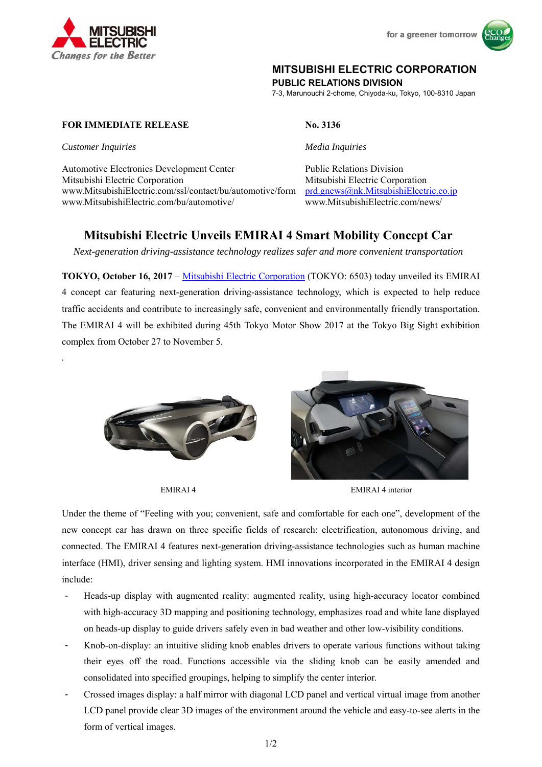

for a greener tomorrow



## **MITSUBISHI ELECTRIC CORPORATION**

**PUBLIC RELATIONS DIVISION** 

7-3, Marunouchi 2-chome, Chiyoda-ku, Tokyo, 100-8310 Japan

### **FOR IMMEDIATE RELEASE No. 3136**

*Customer Inquiries Media Inquiries* 

*.*

Automotive Electronics Development Center Public Relations Division Mitsubishi Electric Corporation Mitsubishi Electric Corporation www.MitsubishiElectric.com/ssl/contact/bu/automotive/form prd.gnews@nk.MitsubishiElectric.co.jp www.MitsubishiElectric.com/bu/automotive/ www.MitsubishiElectric.com/news/

# **Mitsubishi Electric Unveils EMIRAI 4 Smart Mobility Concept Car**

*Next-generation driving-assistance technology realizes safer and more convenient transportation* 

**TOKYO, October 16, 2017** – Mitsubishi Electric Corporation (TOKYO: 6503) today unveiled its EMIRAI 4 concept car featuring next-generation driving-assistance technology, which is expected to help reduce traffic accidents and contribute to increasingly safe, convenient and environmentally friendly transportation. The EMIRAI 4 will be exhibited during 45th Tokyo Motor Show 2017 at the Tokyo Big Sight exhibition complex from October 27 to November 5.





Under the theme of "Feeling with you; convenient, safe and comfortable for each one", development of the new concept car has drawn on three specific fields of research: electrification, autonomous driving, and connected. The EMIRAI 4 features next-generation driving-assistance technologies such as human machine interface (HMI), driver sensing and lighting system. HMI innovations incorporated in the EMIRAI 4 design include:

- Heads-up display with augmented reality: augmented reality, using high-accuracy locator combined with high-accuracy 3D mapping and positioning technology, emphasizes road and white lane displayed on heads-up display to guide drivers safely even in bad weather and other low-visibility conditions.
- Knob-on-display: an intuitive sliding knob enables drivers to operate various functions without taking their eyes off the road. Functions accessible via the sliding knob can be easily amended and consolidated into specified groupings, helping to simplify the center interior.
- Crossed images display: a half mirror with diagonal LCD panel and vertical virtual image from another LCD panel provide clear 3D images of the environment around the vehicle and easy-to-see alerts in the form of vertical images.